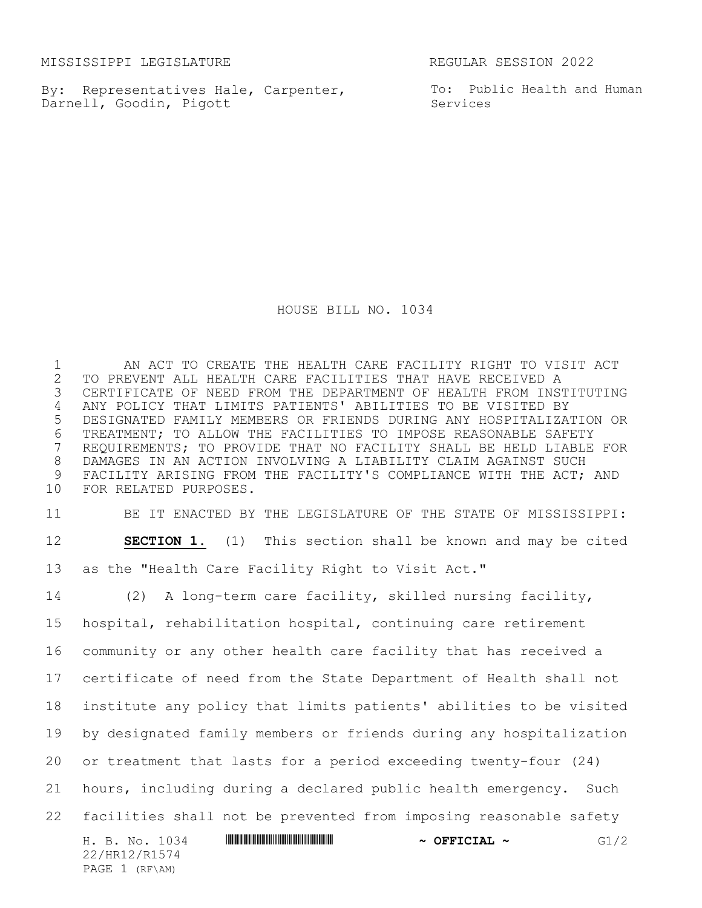MISSISSIPPI LEGISLATURE REGULAR SESSION 2022

PAGE 1 (RF\AM)

By: Representatives Hale, Carpenter, Darnell, Goodin, Pigott

To: Public Health and Human Services

HOUSE BILL NO. 1034

 AN ACT TO CREATE THE HEALTH CARE FACILITY RIGHT TO VISIT ACT 2 TO PREVENT ALL HEALTH CARE FACILITIES THAT HAVE RECEIVED A<br>3 CERTIFICATE OF NEED FROM THE DEPARTMENT OF HEALTH FROM INS! CERTIFICATE OF NEED FROM THE DEPARTMENT OF HEALTH FROM INSTITUTING ANY POLICY THAT LIMITS PATIENTS' ABILITIES TO BE VISITED BY DESIGNATED FAMILY MEMBERS OR FRIENDS DURING ANY HOSPITALIZATION OR 6 TREATMENT; TO ALLOW THE FACILITIES TO IMPOSE REASONABLE SAFETY<br>7 REQUIREMENTS; TO PROVIDE THAT NO FACILITY SHALL BE HELD LIABLE REQUIREMENTS; TO PROVIDE THAT NO FACILITY SHALL BE HELD LIABLE FOR DAMAGES IN AN ACTION INVOLVING A LIABILITY CLAIM AGAINST SUCH FACILITY ARISING FROM THE FACILITY'S COMPLIANCE WITH THE ACT; AND FOR RELATED PURPOSES. BE IT ENACTED BY THE LEGISLATURE OF THE STATE OF MISSISSIPPI: **SECTION 1.** (1) This section shall be known and may be cited as the "Health Care Facility Right to Visit Act." (2) A long-term care facility, skilled nursing facility,

H. B. No. 1034 \*HR12/R1574\* **~ OFFICIAL ~** G1/2 22/HR12/R1574 hospital, rehabilitation hospital, continuing care retirement community or any other health care facility that has received a certificate of need from the State Department of Health shall not institute any policy that limits patients' abilities to be visited by designated family members or friends during any hospitalization or treatment that lasts for a period exceeding twenty-four (24) hours, including during a declared public health emergency. Such facilities shall not be prevented from imposing reasonable safety